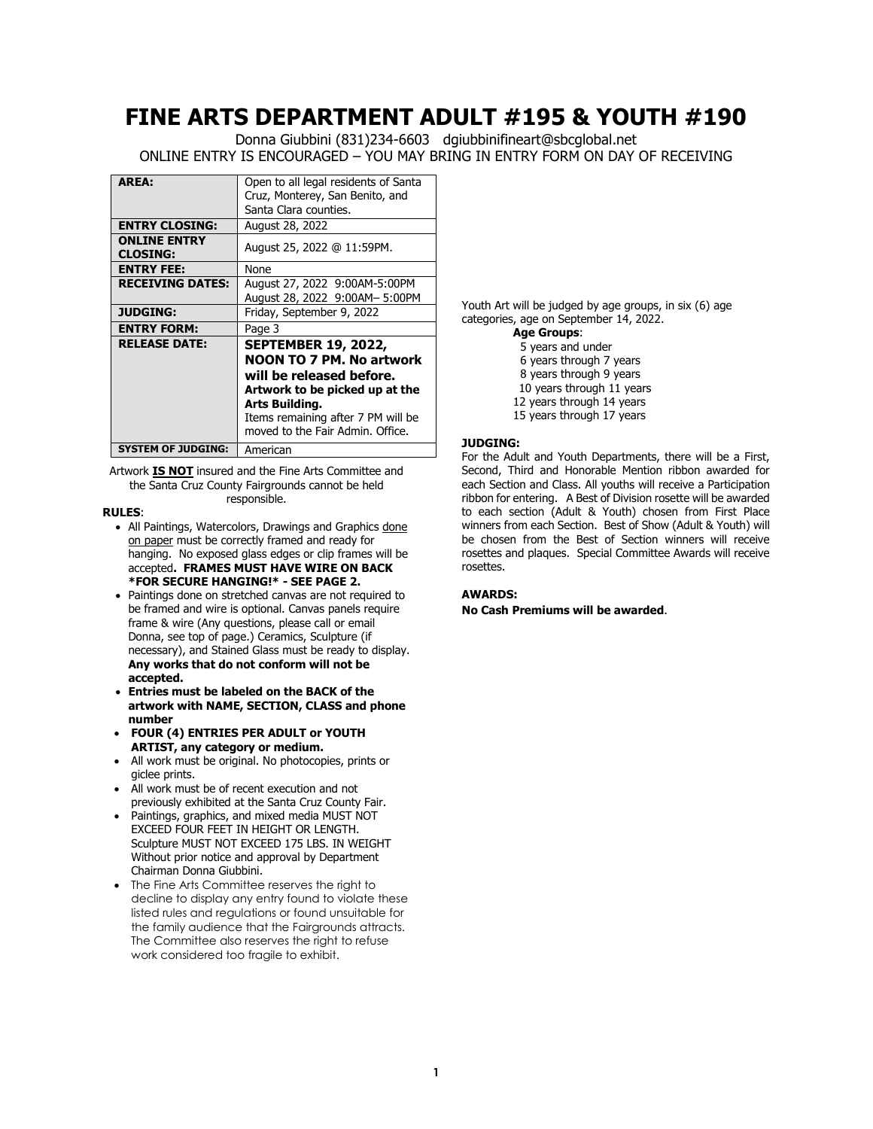# **FINE ARTS DEPARTMENT ADULT #195 & YOUTH #190**

Donna Giubbini (831)234-6603 dgiubbinifineart@sbcglobal.net ONLINE ENTRY IS ENCOURAGED – YOU MAY BRING IN ENTRY FORM ON DAY OF RECEIVING

| <b>AREA:</b>                           | Open to all legal residents of Santa |
|----------------------------------------|--------------------------------------|
|                                        | Cruz, Monterey, San Benito, and      |
|                                        | Santa Clara counties.                |
| <b>ENTRY CLOSING:</b>                  | August 28, 2022                      |
| <b>ONLINE ENTRY</b><br><b>CLOSING:</b> | August 25, 2022 @ 11:59PM.           |
| <b>ENTRY FEE:</b>                      | None                                 |
| <b>RECEIVING DATES:</b>                | August 27, 2022 9:00AM-5:00PM        |
|                                        | August 28, 2022 9:00AM- 5:00PM       |
| <b>JUDGING:</b>                        | Friday, September 9, 2022            |
| <b>ENTRY FORM:</b>                     | Page 3                               |
| <b>RELEASE DATE:</b>                   | <b>SEPTEMBER 19, 2022,</b>           |
|                                        | <b>NOON TO 7 PM. No artwork</b>      |
|                                        | will be released before.             |
|                                        | Artwork to be picked up at the       |
|                                        | Arts Building.                       |
|                                        | Items remaining after 7 PM will be   |
|                                        | moved to the Fair Admin. Office.     |
| <b>SYSTEM OF JUDGING:</b>              | American                             |

Artwork **IS NOT** insured and the Fine Arts Committee and the Santa Cruz County Fairgrounds cannot be held responsible.

#### **RULES**:

- All Paintings, Watercolors, Drawings and Graphics done on paper must be correctly framed and ready for hanging. No exposed glass edges or clip frames will be accepted**. FRAMES MUST HAVE WIRE ON BACK \*FOR SECURE HANGING!\* - SEE PAGE 2.**
- Paintings done on stretched canvas are not required to be framed and wire is optional. Canvas panels require frame & wire (Any questions, please call or email Donna, see top of page.) Ceramics, Sculpture (if necessary), and Stained Glass must be ready to display. **Any works that do not conform will not be accepted.**
- **Entries must be labeled on the BACK of the artwork with NAME, SECTION, CLASS and phone number**
- **FOUR (4) ENTRIES PER ADULT or YOUTH ARTIST, any category or medium.**
- All work must be original. No photocopies, prints or giclee prints.
- All work must be of recent execution and not previously exhibited at the Santa Cruz County Fair.
- Paintings, graphics, and mixed media MUST NOT EXCEED FOUR FEET IN HEIGHT OR LENGTH. Sculpture MUST NOT EXCEED 175 LBS. IN WEIGHT Without prior notice and approval by Department Chairman Donna Giubbini.
- The Fine Arts Committee reserves the right to decline to display any entry found to violate these listed rules and regulations or found unsuitable for the family audience that the Fairgrounds attracts. The Committee also reserves the right to refuse work considered too fragile to exhibit.

Youth Art will be judged by age groups, in six (6) age categories, age on September 14, 2022.

**Age Groups**: 5 years and under 6 years through 7 years 8 years through 9 years 10 years through 11 years 12 years through 14 years 15 years through 17 years

### **JUDGING:**

For the Adult and Youth Departments, there will be a First, Second, Third and Honorable Mention ribbon awarded for each Section and Class. All youths will receive a Participation ribbon for entering. A Best of Division rosette will be awarded to each section (Adult & Youth) chosen from First Place winners from each Section. Best of Show (Adult & Youth) will be chosen from the Best of Section winners will receive rosettes and plaques. Special Committee Awards will receive rosettes.

### **AWARDS:**

**No Cash Premiums will be awarded**.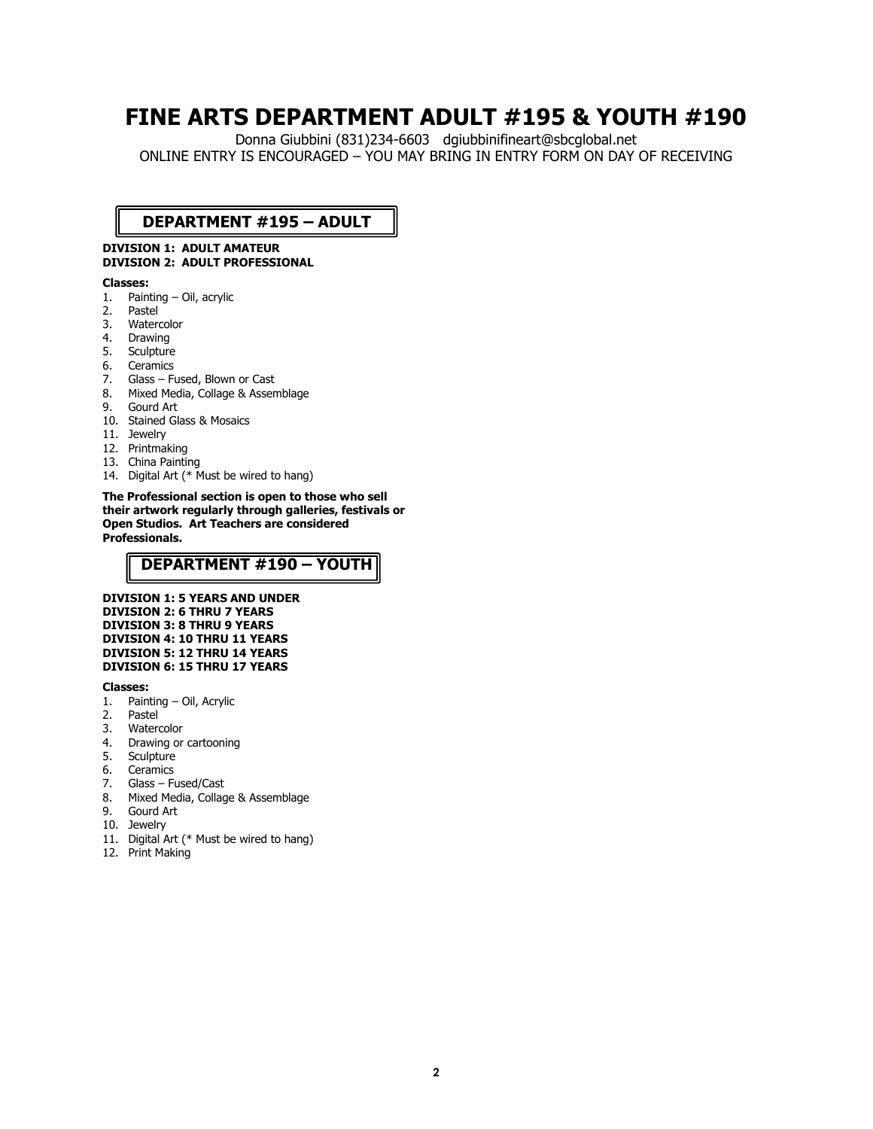# **FINE ARTS DEPARTMENT ADULT #195 & YOUTH #190**

Donna Giubbini (831)234-6603 dgiubbinifineart@sbcglobal.net ONLINE ENTRY IS ENCOURAGED – YOU MAY BRING IN ENTRY FORM ON DAY OF RECEIVING

## **DEPARTMENT #195 – ADULT**

### **DIVISION 1: ADULT AMATEUR DIVISION 2: ADULT PROFESSIONAL**

#### **Classes:**

- 1. Painting Oil, acrylic
- 2. Pastel<br>3. Water
- Watercolor
- 4. Drawing<br>5. Sculpture
- **Sculpture**
- 6. Ceramics
- 7. Glass Fused, Blown or Cast
- 8. Mixed Media, Collage & Assemblage
- 9. Gourd Art
- 10. Stained Glass & Mosaics
- 11. Jewelry
- 12. Printmaking
- 13. China Painting
- 14. Digital Art (\* Must be wired to hang)

**The Professional section is open to those who sell their artwork regularly through galleries, festivals or Open Studios. Art Teachers are considered Professionals.** 

## **DEPARTMENT #190 – YOUTH**

**DIVISION 1: 5 YEARS AND UNDER DIVISION 2: 6 THRU 7 YEARS DIVISION 3: 8 THRU 9 YEARS DIVISION 4: 10 THRU 11 YEARS DIVISION 5: 12 THRU 14 YEARS DIVISION 6: 15 THRU 17 YEARS**

#### **Classes:**

- 1. Painting Oil, Acrylic
- 2. Pastel
- 3. Watercolor
- 4. Drawing or cartooning
- 5. Sculpture
- 6. Ceramics
- 7. Glass Fused/Cast
- 8. Mixed Media, Collage & Assemblage
- 9. Gourd Art
- 10. Jewelry
- 11. Digital Art (\* Must be wired to hang)
- 12. Print Making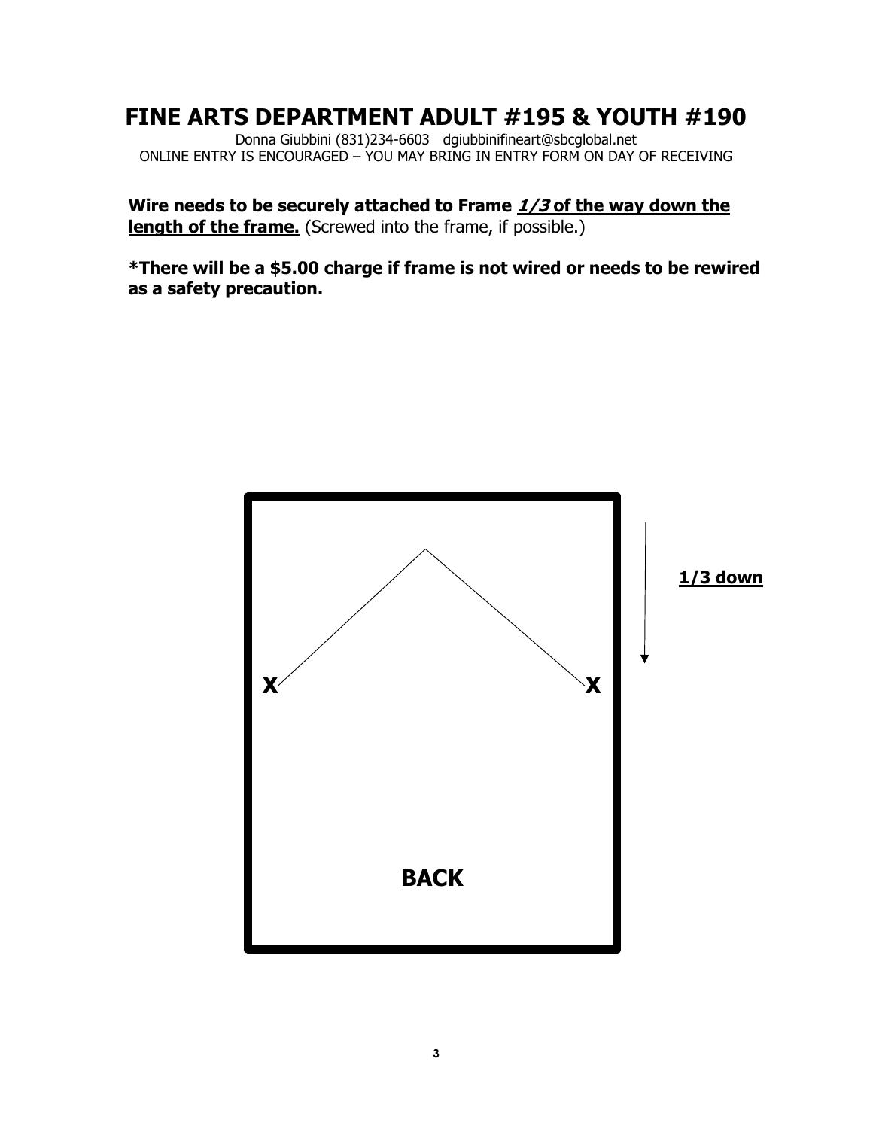# **FINE ARTS DEPARTMENT ADULT #195 & YOUTH #190**

Donna Giubbini (831)234-6603 dgiubbinifineart@sbcglobal.net ONLINE ENTRY IS ENCOURAGED – YOU MAY BRING IN ENTRY FORM ON DAY OF RECEIVING

**Wire needs to be securely attached to Frame 1/3 of the way down the length of the frame.** (Screwed into the frame, if possible.)

**\*There will be a \$5.00 charge if frame is not wired or needs to be rewired as a safety precaution.** 

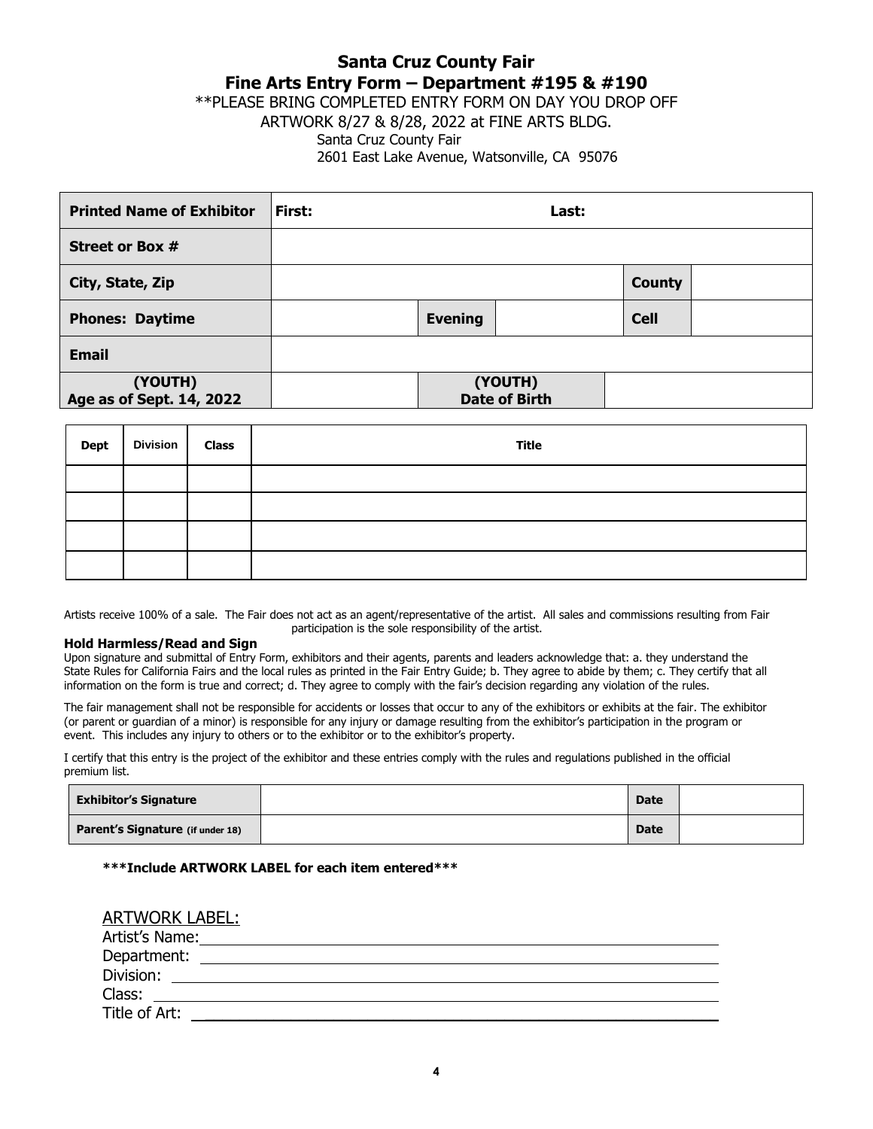## **Santa Cruz County Fair Fine Arts Entry Form – Department #195 & #190**

\*\*PLEASE BRING COMPLETED ENTRY FORM ON DAY YOU DROP OFF

ARTWORK 8/27 & 8/28, 2022 at FINE ARTS BLDG.

## Santa Cruz County Fair

2601 East Lake Avenue, Watsonville, CA 95076

| <b>Printed Name of Exhibitor</b>    | First: |                | Last:                           |               |  |
|-------------------------------------|--------|----------------|---------------------------------|---------------|--|
| <b>Street or Box #</b>              |        |                |                                 |               |  |
| City, State, Zip                    |        |                |                                 | <b>County</b> |  |
| <b>Phones: Daytime</b>              |        | <b>Evening</b> |                                 | <b>Cell</b>   |  |
| <b>Email</b>                        |        |                |                                 |               |  |
| (YOUTH)<br>Age as of Sept. 14, 2022 |        |                | (YOUTH)<br><b>Date of Birth</b> |               |  |

| Dept | Division   Class | <b>Title</b> |
|------|------------------|--------------|
|      |                  |              |
|      |                  |              |
|      |                  |              |
|      |                  |              |

Artists receive 100% of a sale. The Fair does not act as an agent/representative of the artist. All sales and commissions resulting from Fair participation is the sole responsibility of the artist.

### **Hold Harmless/Read and Sign**

Upon signature and submittal of Entry Form, exhibitors and their agents, parents and leaders acknowledge that: a. they understand the State Rules for California Fairs and the local rules as printed in the Fair Entry Guide; b. They agree to abide by them; c. They certify that all information on the form is true and correct; d. They agree to comply with the fair's decision regarding any violation of the rules.

The fair management shall not be responsible for accidents or losses that occur to any of the exhibitors or exhibits at the fair. The exhibitor (or parent or guardian of a minor) is responsible for any injury or damage resulting from the exhibitor's participation in the program or event. This includes any injury to others or to the exhibitor or to the exhibitor's property.

I certify that this entry is the project of the exhibitor and these entries comply with the rules and regulations published in the official premium list.

| <b>Exhibitor's Signature</b>     | <b>Date</b> |  |
|----------------------------------|-------------|--|
| Parent's Signature (if under 18) | <b>Date</b> |  |

### **\*\*\*Include ARTWORK LABEL for each item entered\*\*\***

## ARTWORK LABEL:

| Artist's Name: |  |
|----------------|--|
| Department:    |  |
| Division:      |  |
| Class:         |  |
| Title of Art:  |  |
|                |  |